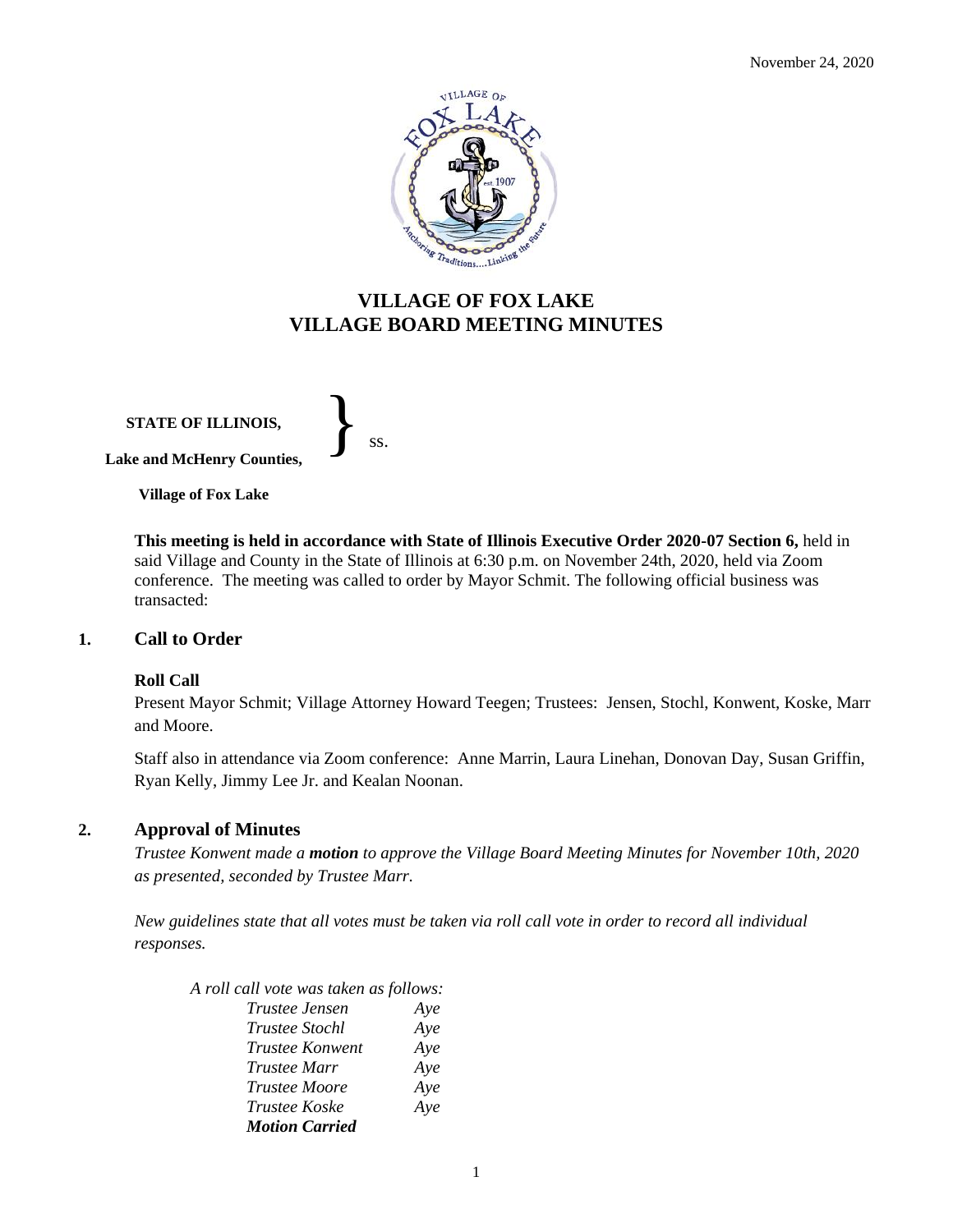

# **VILLAGE OF FOX LAKE VILLAGE BOARD MEETING MINUTES**

**STATE OF ILLINOIS, Lake and McHenry Counties,** 

}<br>*ss.* 

**Village of Fox Lake**

**This meeting is held in accordance with State of Illinois Executive Order 2020-07 Section 6,** held in said Village and County in the State of Illinois at 6:30 p.m. on November 24th, 2020, held via Zoom conference. The meeting was called to order by Mayor Schmit. The following official business was transacted:

#### **1. Call to Order**

#### **Roll Call**

Present Mayor Schmit; Village Attorney Howard Teegen; Trustees: Jensen, Stochl, Konwent, Koske, Marr and Moore.

Staff also in attendance via Zoom conference: Anne Marrin, Laura Linehan, Donovan Day, Susan Griffin, Ryan Kelly, Jimmy Lee Jr. and Kealan Noonan.

#### **2. Approval of Minutes**

*Trustee Konwent made a motion to approve the Village Board Meeting Minutes for November 10th, 2020 as presented, seconded by Trustee Marr.* 

*New guidelines state that all votes must be taken via roll call vote in order to record all individual responses.* 

| A roll call vote was taken as follows: |     |
|----------------------------------------|-----|
| Trustee Jensen                         | Aye |
| <i>Trustee Stochl</i>                  | Aye |
| <i>Trustee Konwent</i>                 | Aye |
| <i>Trustee Marr</i>                    | Aye |
| <b>Trustee Moore</b>                   | Aye |
| Trustee Koske                          | Aye |
| <b>Motion Carried</b>                  |     |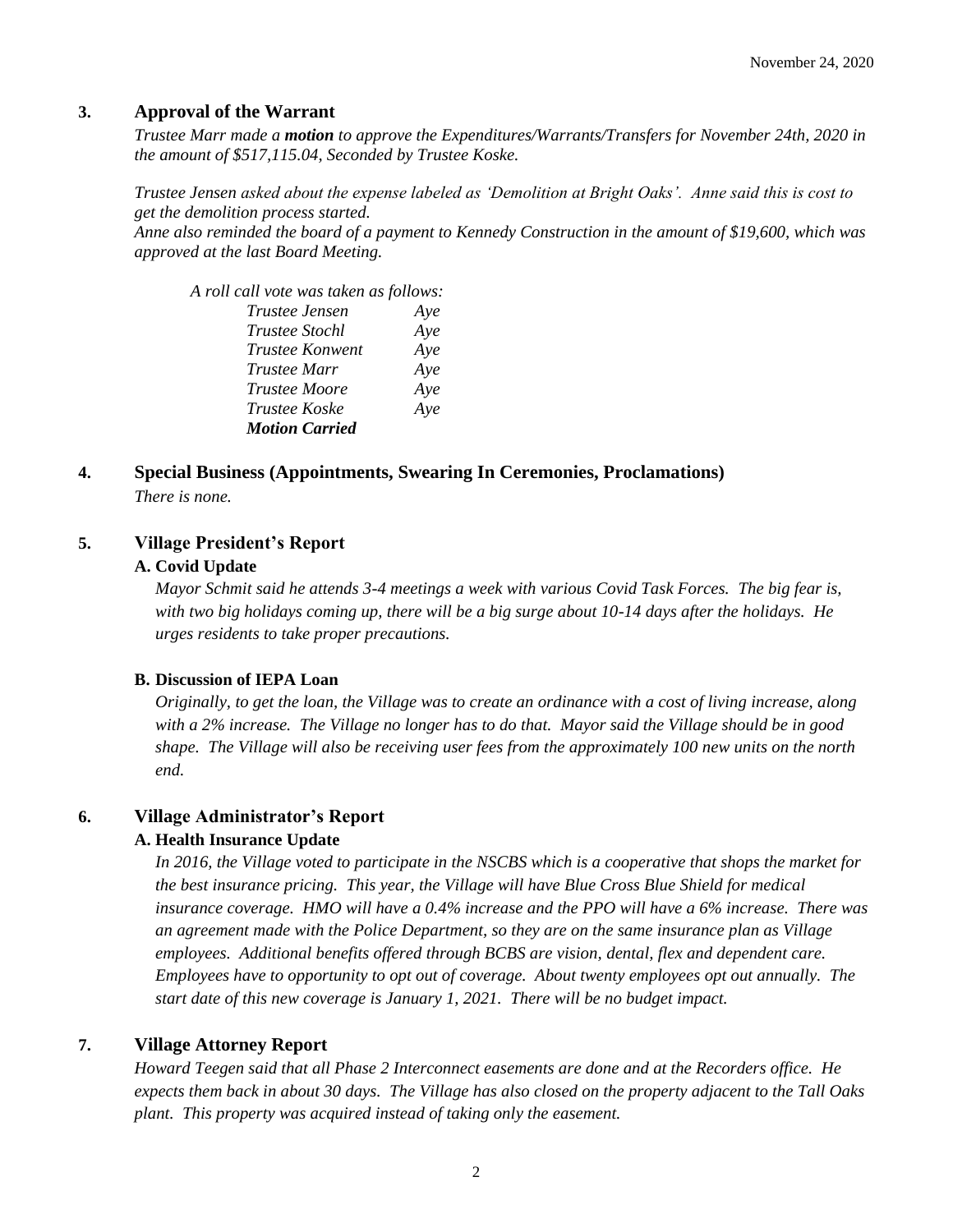#### **3. Approval of the Warrant**

*Trustee Marr made a motion to approve the Expenditures/Warrants/Transfers for November 24th, 2020 in the amount of \$517,115.04, Seconded by Trustee Koske.*

*Trustee Jensen asked about the expense labeled as 'Demolition at Bright Oaks'. Anne said this is cost to get the demolition process started. Anne also reminded the board of a payment to Kennedy Construction in the amount of \$19,600, which was approved at the last Board Meeting.*

| A roll call vote was taken as follows: |     |
|----------------------------------------|-----|
| Trustee Jensen                         | Aye |
| <i>Trustee Stochl</i>                  | Aye |
| Trustee Konwent                        | Aye |
| <i>Trustee Marr</i>                    | Aye |
| <i>Trustee Moore</i>                   | Aye |
| Trustee Koske                          | Aye |
| <b>Motion Carried</b>                  |     |

**4. Special Business (Appointments, Swearing In Ceremonies, Proclamations)** *There is none.*

## **5. Village President's Report**

#### **A. Covid Update**

*Mayor Schmit said he attends 3-4 meetings a week with various Covid Task Forces. The big fear is, with two big holidays coming up, there will be a big surge about 10-14 days after the holidays. He urges residents to take proper precautions.* 

#### **B. Discussion of IEPA Loan**

*Originally, to get the loan, the Village was to create an ordinance with a cost of living increase, along with a 2% increase. The Village no longer has to do that. Mayor said the Village should be in good shape. The Village will also be receiving user fees from the approximately 100 new units on the north end.*

#### **6. Village Administrator's Report**

#### **A. Health Insurance Update**

*In 2016, the Village voted to participate in the NSCBS which is a cooperative that shops the market for the best insurance pricing. This year, the Village will have Blue Cross Blue Shield for medical insurance coverage. HMO will have a 0.4% increase and the PPO will have a 6% increase. There was an agreement made with the Police Department, so they are on the same insurance plan as Village employees. Additional benefits offered through BCBS are vision, dental, flex and dependent care. Employees have to opportunity to opt out of coverage. About twenty employees opt out annually. The start date of this new coverage is January 1, 2021. There will be no budget impact.* 

#### **7. Village Attorney Report**

*Howard Teegen said that all Phase 2 Interconnect easements are done and at the Recorders office. He expects them back in about 30 days. The Village has also closed on the property adjacent to the Tall Oaks plant. This property was acquired instead of taking only the easement.*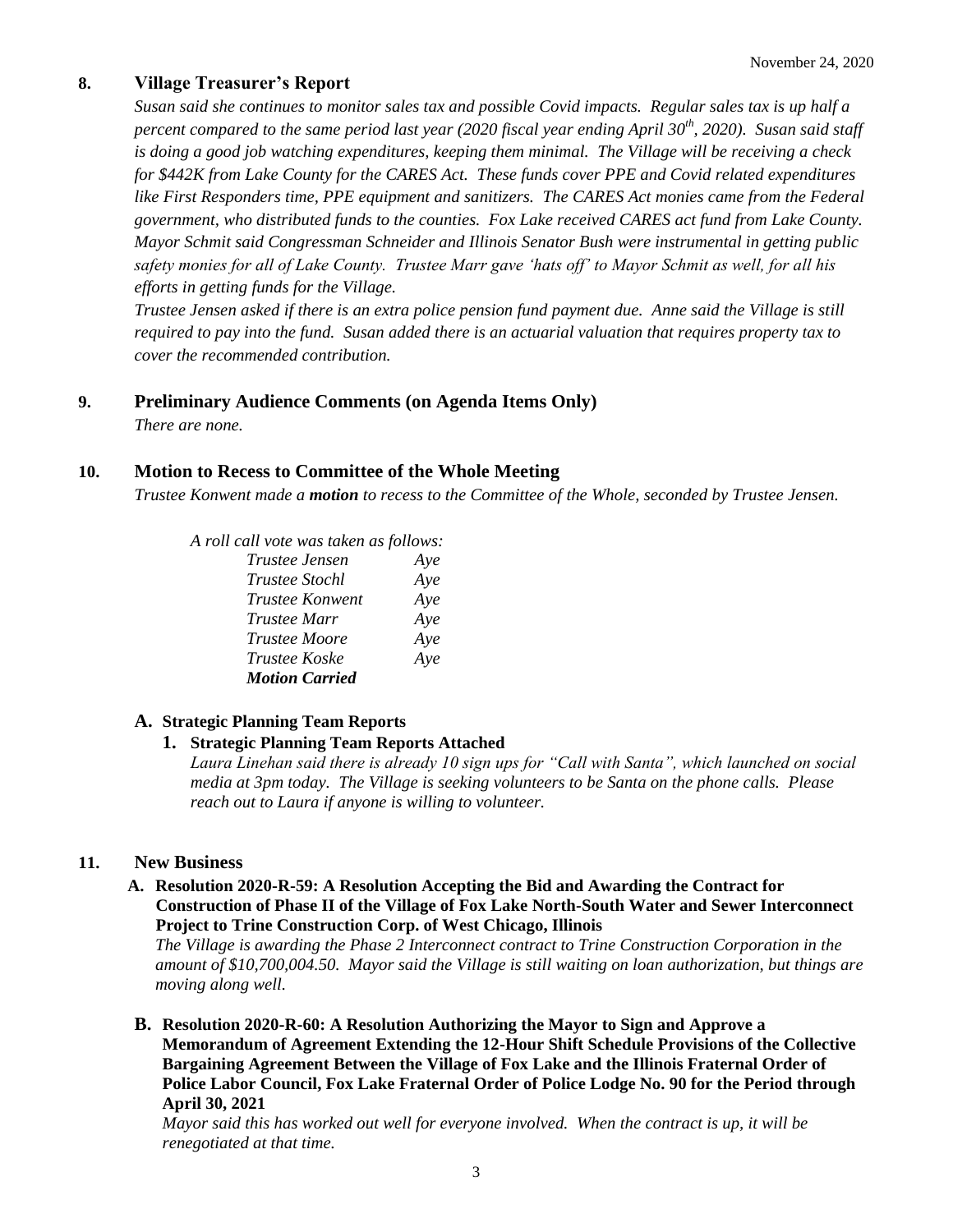## **8. Village Treasurer's Report**

*Susan said she continues to monitor sales tax and possible Covid impacts. Regular sales tax is up half a percent compared to the same period last year (2020 fiscal year ending April 30th, 2020). Susan said staff is doing a good job watching expenditures, keeping them minimal. The Village will be receiving a check for \$442K from Lake County for the CARES Act. These funds cover PPE and Covid related expenditures like First Responders time, PPE equipment and sanitizers. The CARES Act monies came from the Federal government, who distributed funds to the counties. Fox Lake received CARES act fund from Lake County. Mayor Schmit said Congressman Schneider and Illinois Senator Bush were instrumental in getting public safety monies for all of Lake County. Trustee Marr gave 'hats off' to Mayor Schmit as well, for all his efforts in getting funds for the Village.* 

*Trustee Jensen asked if there is an extra police pension fund payment due. Anne said the Village is still required to pay into the fund. Susan added there is an actuarial valuation that requires property tax to cover the recommended contribution.* 

## **9. Preliminary Audience Comments (on Agenda Items Only)**

*There are none.* 

## **10. Motion to Recess to Committee of the Whole Meeting**

*Trustee Konwent made a motion to recess to the Committee of the Whole, seconded by Trustee Jensen.* 

*A roll call vote was taken as follows:* 

| Trustee Jensen        | Aye |
|-----------------------|-----|
| <i>Trustee Stochl</i> | Aye |
| Trustee Konwent       | Aye |
| Trustee Marr          | Aye |
| <b>Trustee Moore</b>  | Aye |
| <i>Trustee Koske</i>  | Aye |
| <b>Motion Carried</b> |     |

## **A. Strategic Planning Team Reports**

#### **1. Strategic Planning Team Reports Attached**

*Laura Linehan said there is already 10 sign ups for "Call with Santa", which launched on social media at 3pm today. The Village is seeking volunteers to be Santa on the phone calls. Please reach out to Laura if anyone is willing to volunteer.* 

## **11. New Business**

**A. Resolution 2020-R-59: A Resolution Accepting the Bid and Awarding the Contract for Construction of Phase II of the Village of Fox Lake North-South Water and Sewer Interconnect Project to Trine Construction Corp. of West Chicago, Illinois**

*The Village is awarding the Phase 2 Interconnect contract to Trine Construction Corporation in the amount of \$10,700,004.50. Mayor said the Village is still waiting on loan authorization, but things are moving along well.* 

**B. Resolution 2020-R-60: A Resolution Authorizing the Mayor to Sign and Approve a Memorandum of Agreement Extending the 12-Hour Shift Schedule Provisions of the Collective Bargaining Agreement Between the Village of Fox Lake and the Illinois Fraternal Order of Police Labor Council, Fox Lake Fraternal Order of Police Lodge No. 90 for the Period through April 30, 2021**

*Mayor said this has worked out well for everyone involved. When the contract is up, it will be renegotiated at that time.*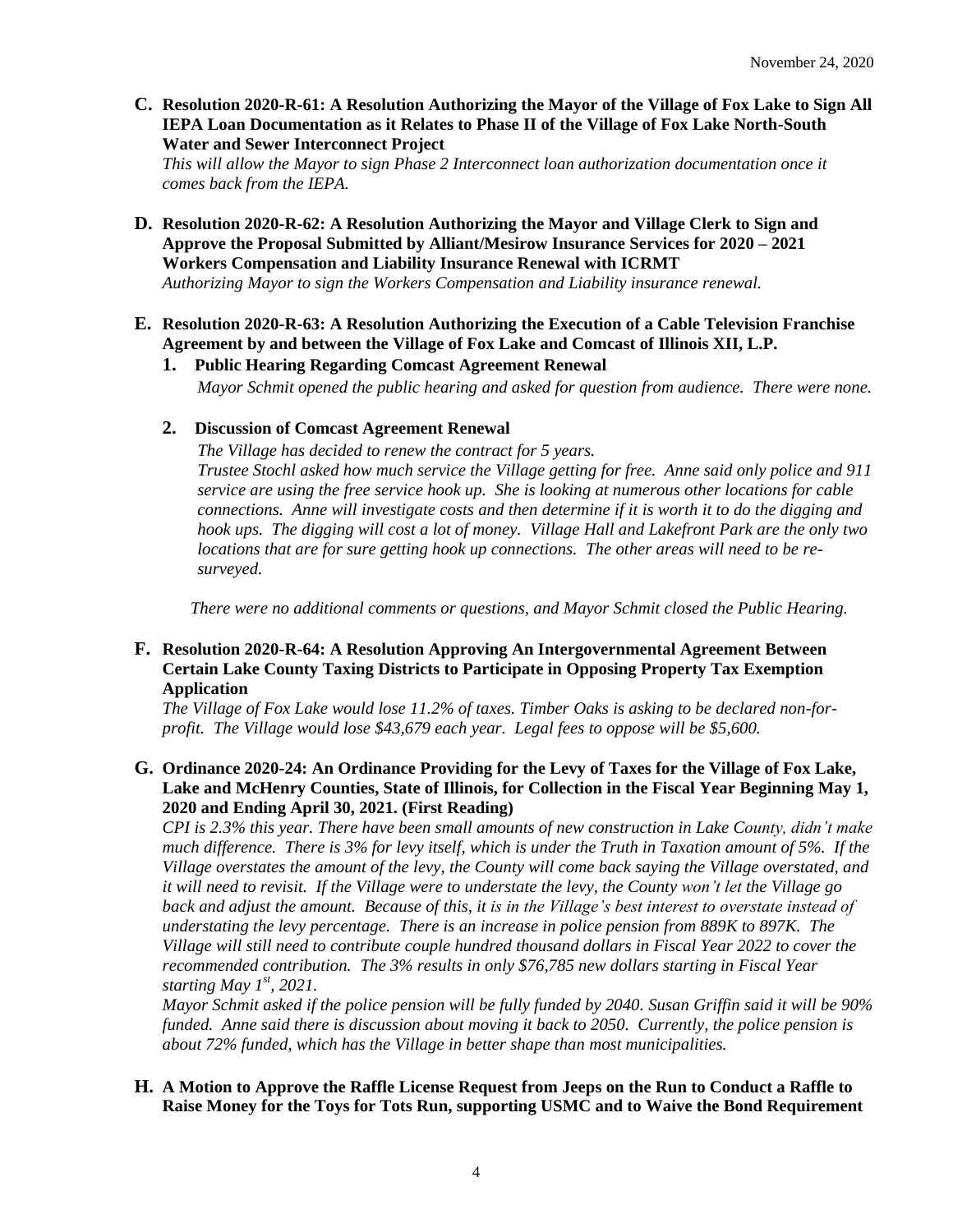**C. Resolution 2020-R-61: A Resolution Authorizing the Mayor of the Village of Fox Lake to Sign All IEPA Loan Documentation as it Relates to Phase II of the Village of Fox Lake North-South Water and Sewer Interconnect Project**

*This will allow the Mayor to sign Phase 2 Interconnect loan authorization documentation once it comes back from the IEPA.*

**D. Resolution 2020-R-62: A Resolution Authorizing the Mayor and Village Clerk to Sign and Approve the Proposal Submitted by Alliant/Mesirow Insurance Services for 2020 – 2021 Workers Compensation and Liability Insurance Renewal with ICRMT**

*Authorizing Mayor to sign the Workers Compensation and Liability insurance renewal.* 

- **E. Resolution 2020-R-63: A Resolution Authorizing the Execution of a Cable Television Franchise Agreement by and between the Village of Fox Lake and Comcast of Illinois XII, L.P.** 
	- **1. Public Hearing Regarding Comcast Agreement Renewal** *Mayor Schmit opened the public hearing and asked for question from audience. There were none.*

## **2. Discussion of Comcast Agreement Renewal**

*The Village has decided to renew the contract for 5 years. Trustee Stochl asked how much service the Village getting for free. Anne said only police and 911 service are using the free service hook up. She is looking at numerous other locations for cable connections. Anne will investigate costs and then determine if it is worth it to do the digging and hook ups. The digging will cost a lot of money. Village Hall and Lakefront Park are the only two locations that are for sure getting hook up connections. The other areas will need to be resurveyed.*

*There were no additional comments or questions, and Mayor Schmit closed the Public Hearing.*

#### **F. Resolution 2020-R-64: A Resolution Approving An Intergovernmental Agreement Between Certain Lake County Taxing Districts to Participate in Opposing Property Tax Exemption Application**

*The Village of Fox Lake would lose 11.2% of taxes. Timber Oaks is asking to be declared non-forprofit. The Village would lose \$43,679 each year. Legal fees to oppose will be \$5,600.*

**G. Ordinance 2020-24: An Ordinance Providing for the Levy of Taxes for the Village of Fox Lake, Lake and McHenry Counties, State of Illinois, for Collection in the Fiscal Year Beginning May 1, 2020 and Ending April 30, 2021. (First Reading)**

*CPI is 2.3% this year. There have been small amounts of new construction in Lake County, didn't make much difference. There is 3% for levy itself, which is under the Truth in Taxation amount of 5%. If the Village overstates the amount of the levy, the County will come back saying the Village overstated, and it will need to revisit. If the Village were to understate the levy, the County won't let the Village go back and adjust the amount. Because of this, it is in the Village's best interest to overstate instead of understating the levy percentage. There is an increase in police pension from 889K to 897K. The Village will still need to contribute couple hundred thousand dollars in Fiscal Year 2022 to cover the recommended contribution. The 3% results in only \$76,785 new dollars starting in Fiscal Year starting May 1st , 2021.*

*Mayor Schmit asked if the police pension will be fully funded by 2040. Susan Griffin said it will be 90% funded. Anne said there is discussion about moving it back to 2050. Currently, the police pension is about 72% funded, which has the Village in better shape than most municipalities.*

## **H. A Motion to Approve the Raffle License Request from Jeeps on the Run to Conduct a Raffle to Raise Money for the Toys for Tots Run, supporting USMC and to Waive the Bond Requirement**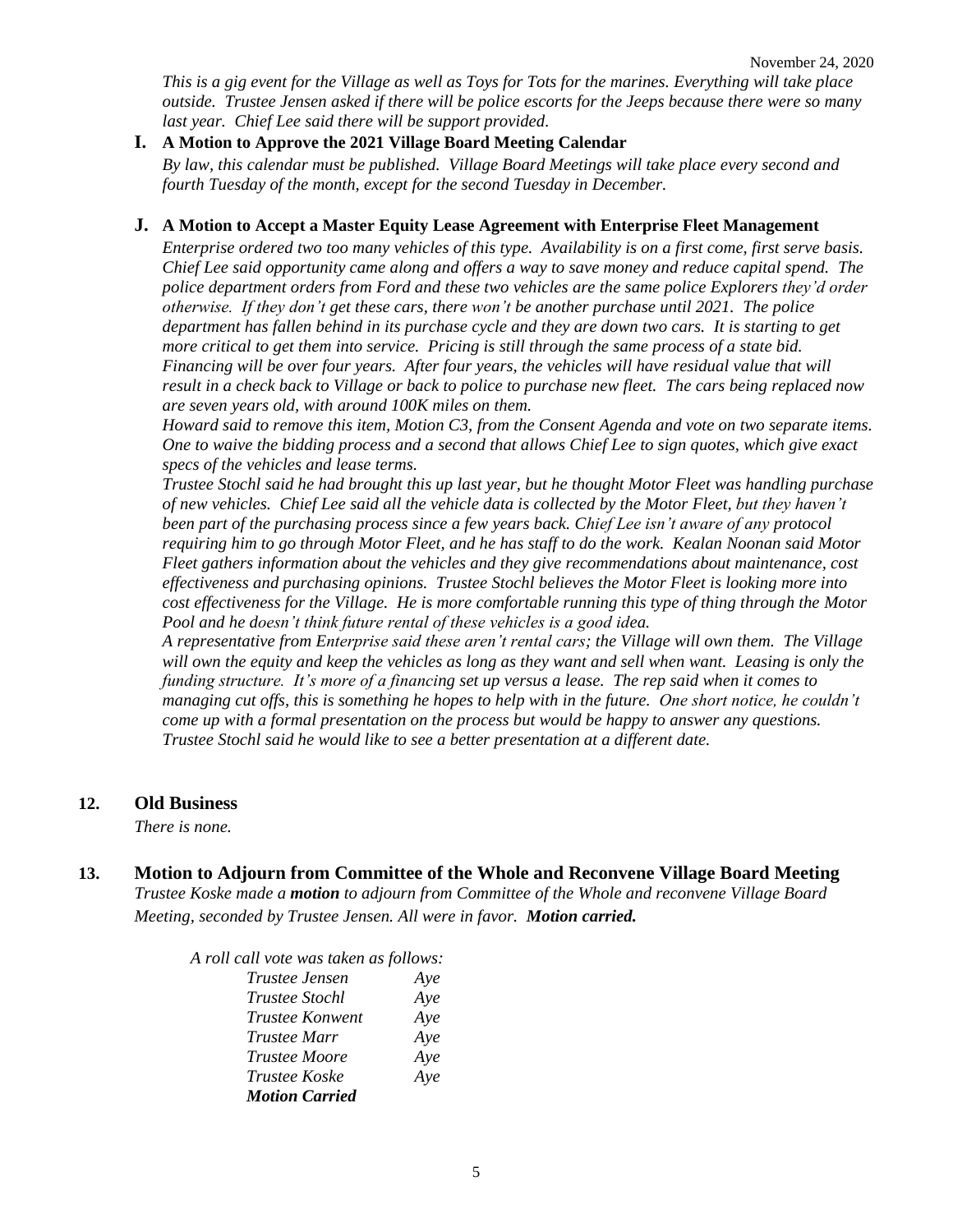*This is a gig event for the Village as well as Toys for Tots for the marines. Everything will take place outside. Trustee Jensen asked if there will be police escorts for the Jeeps because there were so many last year. Chief Lee said there will be support provided.* 

## **I. A Motion to Approve the 2021 Village Board Meeting Calendar**

*By law, this calendar must be published. Village Board Meetings will take place every second and fourth Tuesday of the month, except for the second Tuesday in December.* 

## **J. A Motion to Accept a Master Equity Lease Agreement with Enterprise Fleet Management**

*Enterprise ordered two too many vehicles of this type. Availability is on a first come, first serve basis. Chief Lee said opportunity came along and offers a way to save money and reduce capital spend. The police department orders from Ford and these two vehicles are the same police Explorers they'd order otherwise. If they don't get these cars, there won't be another purchase until 2021. The police department has fallen behind in its purchase cycle and they are down two cars. It is starting to get more critical to get them into service. Pricing is still through the same process of a state bid. Financing will be over four years. After four years, the vehicles will have residual value that will result in a check back to Village or back to police to purchase new fleet. The cars being replaced now are seven years old, with around 100K miles on them.* 

*Howard said to remove this item, Motion C3, from the Consent Agenda and vote on two separate items. One to waive the bidding process and a second that allows Chief Lee to sign quotes, which give exact specs of the vehicles and lease terms.*

*Trustee Stochl said he had brought this up last year, but he thought Motor Fleet was handling purchase of new vehicles. Chief Lee said all the vehicle data is collected by the Motor Fleet, but they haven't been part of the purchasing process since a few years back. Chief Lee isn't aware of any protocol requiring him to go through Motor Fleet, and he has staff to do the work. Kealan Noonan said Motor Fleet gathers information about the vehicles and they give recommendations about maintenance, cost effectiveness and purchasing opinions. Trustee Stochl believes the Motor Fleet is looking more into cost effectiveness for the Village. He is more comfortable running this type of thing through the Motor Pool and he doesn't think future rental of these vehicles is a good idea.* 

*A representative from Enterprise said these aren't rental cars; the Village will own them. The Village will own the equity and keep the vehicles as long as they want and sell when want. Leasing is only the funding structure. It's more of a financing set up versus a lease. The rep said when it comes to managing cut offs, this is something he hopes to help with in the future. One short notice, he couldn't come up with a formal presentation on the process but would be happy to answer any questions. Trustee Stochl said he would like to see a better presentation at a different date.* 

## **12. Old Business**

*There is none.* 

**13. Motion to Adjourn from Committee of the Whole and Reconvene Village Board Meeting** *Trustee Koske made a motion to adjourn from Committee of the Whole and reconvene Village Board Meeting, seconded by Trustee Jensen. All were in favor. Motion carried.* 

*A roll call vote was taken as follows:* 

| Trustee Jensen        | Aye |
|-----------------------|-----|
| <i>Trustee Stochl</i> | Aye |
| Trustee Konwent       | Aye |
| <i>Trustee Marr</i>   | Aye |
| Trustee Moore         | Aye |
| Trustee Koske         | Aye |
| <b>Motion Carried</b> |     |
|                       |     |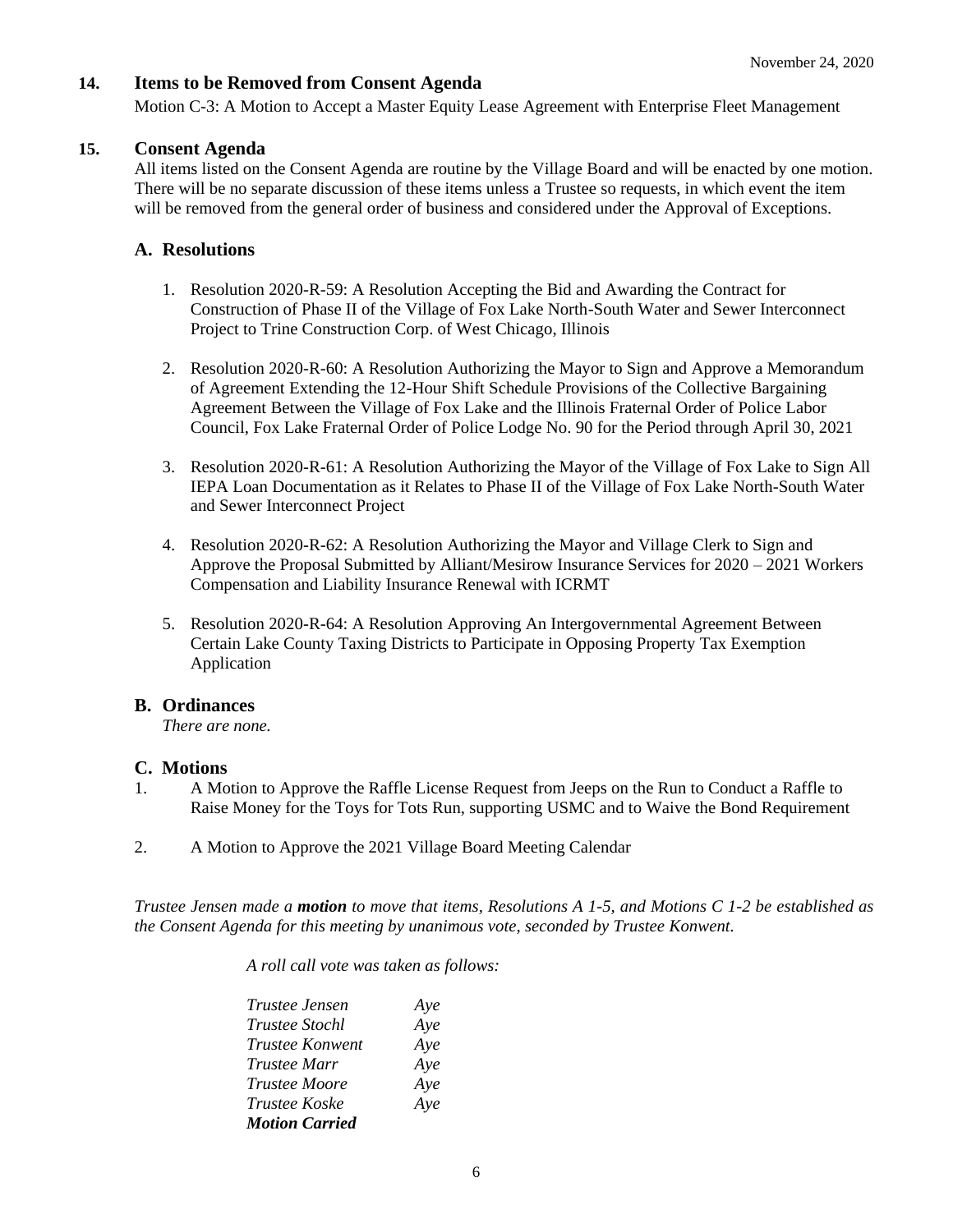### **14. Items to be Removed from Consent Agenda**

Motion C-3: A Motion to Accept a Master Equity Lease Agreement with Enterprise Fleet Management

#### **15. Consent Agenda**

All items listed on the Consent Agenda are routine by the Village Board and will be enacted by one motion. There will be no separate discussion of these items unless a Trustee so requests, in which event the item will be removed from the general order of business and considered under the Approval of Exceptions.

## **A. Resolutions**

- 1. Resolution 2020-R-59: A Resolution Accepting the Bid and Awarding the Contract for Construction of Phase II of the Village of Fox Lake North-South Water and Sewer Interconnect Project to Trine Construction Corp. of West Chicago, Illinois
- 2. Resolution 2020-R-60: A Resolution Authorizing the Mayor to Sign and Approve a Memorandum of Agreement Extending the 12-Hour Shift Schedule Provisions of the Collective Bargaining Agreement Between the Village of Fox Lake and the Illinois Fraternal Order of Police Labor Council, Fox Lake Fraternal Order of Police Lodge No. 90 for the Period through April 30, 2021
- 3. Resolution 2020-R-61: A Resolution Authorizing the Mayor of the Village of Fox Lake to Sign All IEPA Loan Documentation as it Relates to Phase II of the Village of Fox Lake North-South Water and Sewer Interconnect Project
- 4. Resolution 2020-R-62: A Resolution Authorizing the Mayor and Village Clerk to Sign and Approve the Proposal Submitted by Alliant/Mesirow Insurance Services for 2020 – 2021 Workers Compensation and Liability Insurance Renewal with ICRMT
- 5. Resolution 2020-R-64: A Resolution Approving An Intergovernmental Agreement Between Certain Lake County Taxing Districts to Participate in Opposing Property Tax Exemption Application

#### **B. Ordinances**

*There are none.*

#### **C. Motions**

- 1. A Motion to Approve the Raffle License Request from Jeeps on the Run to Conduct a Raffle to Raise Money for the Toys for Tots Run, supporting USMC and to Waive the Bond Requirement
- 2. A Motion to Approve the 2021 Village Board Meeting Calendar

*Trustee Jensen made a motion to move that items, Resolutions A 1-5, and Motions C 1-2 be established as the Consent Agenda for this meeting by unanimous vote, seconded by Trustee Konwent.*

*A roll call vote was taken as follows:* 

| Trustee Jensen        | Aye |
|-----------------------|-----|
| <i>Trustee Stochl</i> | Aye |
| Trustee Konwent       | Aye |
| <i>Trustee Marr</i>   | Aye |
| <i>Trustee Moore</i>  | Aye |
| Trustee Koske         | Aye |
| <b>Motion Carried</b> |     |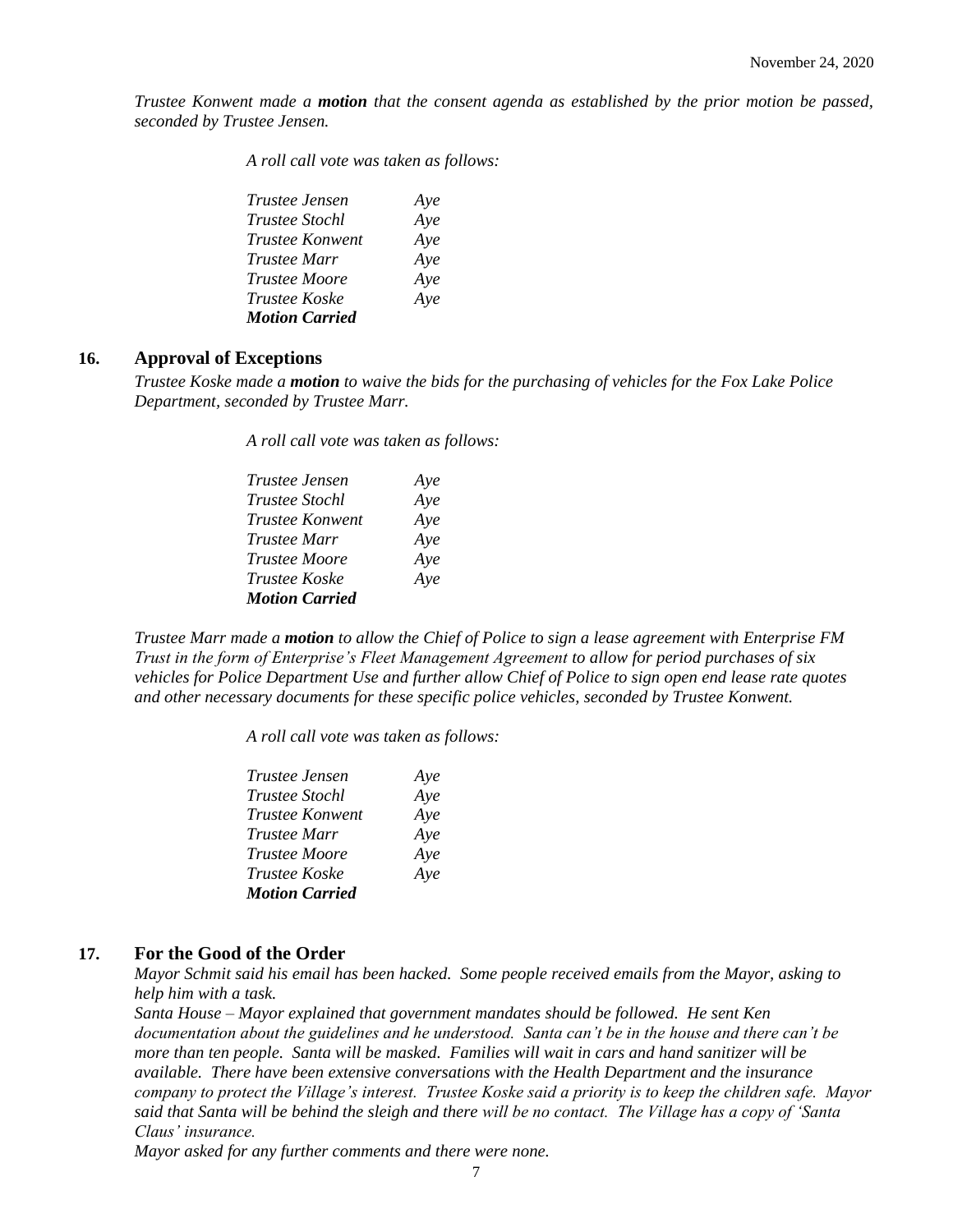*Trustee Konwent made a motion that the consent agenda as established by the prior motion be passed, seconded by Trustee Jensen.*

*A roll call vote was taken as follows:* 

| Trustee Jensen        | Ave |
|-----------------------|-----|
| <i>Trustee Stochl</i> | Aye |
| Trustee Konwent       | Aye |
| Trustee Marr          | Aye |
| <i>Trustee Moore</i>  | Aye |
| <i>Trustee Koske</i>  | Aye |
| <b>Motion Carried</b> |     |

#### **16. Approval of Exceptions**

*Trustee Koske made a motion to waive the bids for the purchasing of vehicles for the Fox Lake Police Department, seconded by Trustee Marr.*

*A roll call vote was taken as follows:* 

| Trustee Jensen         | Aye |
|------------------------|-----|
| <i>Trustee Stochl</i>  | Aye |
| <b>Trustee Konwent</b> | Aye |
| <i>Trustee Marr</i>    | Aye |
| <i>Trustee Moore</i>   | Aye |
| Trustee Koske          | Aye |
| <b>Motion Carried</b>  |     |

*Trustee Marr made a motion to allow the Chief of Police to sign a lease agreement with Enterprise FM Trust in the form of Enterprise's Fleet Management Agreement to allow for period purchases of six vehicles for Police Department Use and further allow Chief of Police to sign open end lease rate quotes and other necessary documents for these specific police vehicles, seconded by Trustee Konwent.*

*A roll call vote was taken as follows:* 

| Trustee Jensen         | Aye |
|------------------------|-----|
| <i>Trustee Stochl</i>  | Aye |
| <b>Trustee Konwent</b> | Aye |
| Trustee Marr           | Aye |
| <i>Trustee Moore</i>   | Aye |
| <i>Trustee Koske</i>   | Aye |
| <b>Motion Carried</b>  |     |

#### **17. For the Good of the Order**

*Mayor Schmit said his email has been hacked. Some people received emails from the Mayor, asking to help him with a task.* 

*Santa House – Mayor explained that government mandates should be followed. He sent Ken documentation about the guidelines and he understood. Santa can't be in the house and there can't be more than ten people. Santa will be masked. Families will wait in cars and hand sanitizer will be available. There have been extensive conversations with the Health Department and the insurance company to protect the Village's interest. Trustee Koske said a priority is to keep the children safe. Mayor said that Santa will be behind the sleigh and there will be no contact. The Village has a copy of 'Santa Claus' insurance.* 

*Mayor asked for any further comments and there were none.*